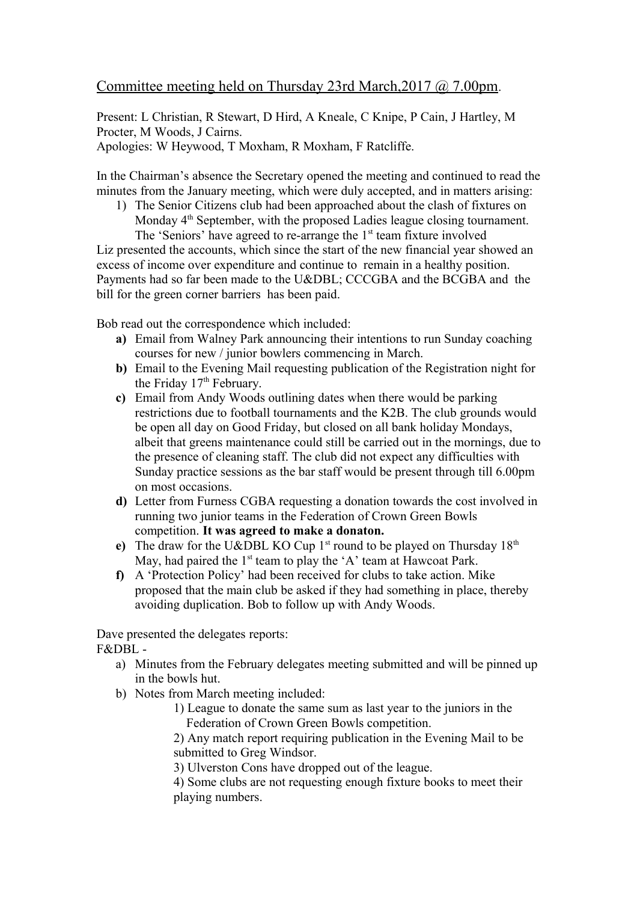## Committee meeting held on Thursday 23rd March,2017 @ 7.00pm.

Present: L Christian, R Stewart, D Hird, A Kneale, C Knipe, P Cain, J Hartley, M Procter, M Woods, J Cairns. Apologies: W Heywood, T Moxham, R Moxham, F Ratcliffe.

In the Chairman's absence the Secretary opened the meeting and continued to read the minutes from the January meeting, which were duly accepted, and in matters arising:

1) The Senior Citizens club had been approached about the clash of fixtures on Monday 4<sup>th</sup> September, with the proposed Ladies league closing tournament. The 'Seniors' have agreed to re-arrange the  $1<sup>st</sup>$  team fixture involved

Liz presented the accounts, which since the start of the new financial year showed an excess of income over expenditure and continue to remain in a healthy position. Payments had so far been made to the U&DBL; CCCGBA and the BCGBA and the bill for the green corner barriers has been paid.

Bob read out the correspondence which included:

- **a)** Email from Walney Park announcing their intentions to run Sunday coaching courses for new / junior bowlers commencing in March.
- **b)** Email to the Evening Mail requesting publication of the Registration night for the Friday  $17<sup>th</sup>$  February.
- **c)** Email from Andy Woods outlining dates when there would be parking restrictions due to football tournaments and the K2B. The club grounds would be open all day on Good Friday, but closed on all bank holiday Mondays, albeit that greens maintenance could still be carried out in the mornings, due to the presence of cleaning staff. The club did not expect any difficulties with Sunday practice sessions as the bar staff would be present through till 6.00pm on most occasions.
- **d)** Letter from Furness CGBA requesting a donation towards the cost involved in running two junior teams in the Federation of Crown Green Bowls competition. **It was agreed to make a donaton.**
- **e)** The draw for the U&DBL KO Cup  $1^{st}$  round to be played on Thursday  $18^{th}$ May, had paired the  $1<sup>st</sup>$  team to play the 'A' team at Hawcoat Park.
- **f)** A 'Protection Policy' had been received for clubs to take action. Mike proposed that the main club be asked if they had something in place, thereby avoiding duplication. Bob to follow up with Andy Woods.

Dave presented the delegates reports: F&DBL -

- a) Minutes from the February delegates meeting submitted and will be pinned up in the bowls hut.
- b) Notes from March meeting included:
	- 1) League to donate the same sum as last year to the juniors in the Federation of Crown Green Bowls competition.

2) Any match report requiring publication in the Evening Mail to be submitted to Greg Windsor.

3) Ulverston Cons have dropped out of the league.

4) Some clubs are not requesting enough fixture books to meet their playing numbers.